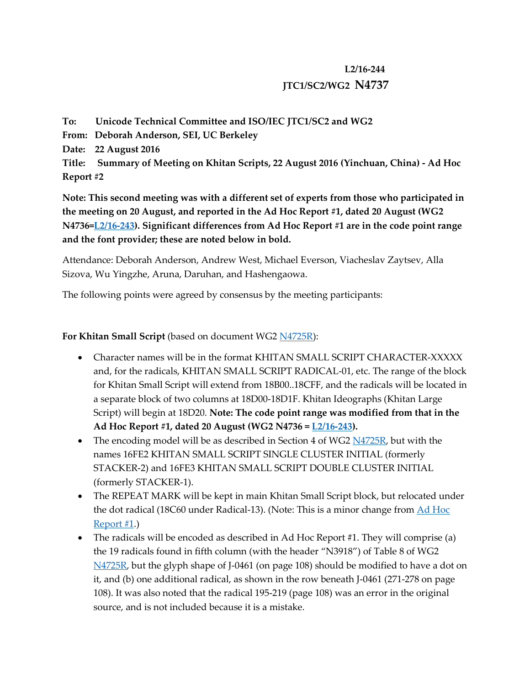## **L2/16-244 JTC1/SC2/WG2 N4737**

**To: Unicode Technical Committee and ISO/IEC JTC1/SC2 and WG2 From: Deborah Anderson, SEI, UC Berkeley Date: 22 August 2016 Title: Summary of Meeting on Khitan Scripts, 22 August 2016 (Yinchuan, China) - Ad Hoc Report #2**

**Note: This second meeting was with a different set of experts from those who participated in the meeting on 20 August, and reported in the Ad Hoc Report #1, dated 20 August (WG2 N4736[=L2/16-243\)](http://www.unicode.org/L2/L2016/16243-khitan-meeting-1.pdf). Significant differences from Ad Hoc Report #1 are in the code point range and the font provider; these are noted below in bold.**

Attendance: Deborah Anderson, Andrew West, Michael Everson, Viacheslav Zaytsev, Alla Sizova, Wu Yingzhe, Aruna, Daruhan, and Hashengaowa.

The following points were agreed by consensus by the meeting participants:

## **For Khitan Small Script** (based on document WG2 [N4725R\)](http://www.unicode.org/L2/L2016/16113r-n4725r-khitan-small-script.pdf):

- Character names will be in the format KHITAN SMALL SCRIPT CHARACTER-XXXXX and, for the radicals, KHITAN SMALL SCRIPT RADICAL-01, etc. The range of the block for Khitan Small Script will extend from 18B00..18CFF, and the radicals will be located in a separate block of two columns at 18D00-18D1F. Khitan Ideographs (Khitan Large Script) will begin at 18D20. **Note: The code point range was modified from that in the Ad Hoc Report #1, dated 20 August (WG2 N4736 = [L2/16-243\)](http://www.unicode.org/L2/L2016/16243-khitan-meeting-1.pdf).**
- The encoding model will be as described in Section 4 of WG2  $N4725R$ , but with the names 16FE2 KHITAN SMALL SCRIPT SINGLE CLUSTER INITIAL (formerly STACKER-2) and 16FE3 KHITAN SMALL SCRIPT DOUBLE CLUSTER INITIAL (formerly STACKER-1).
- The REPEAT MARK will be kept in main Khitan Small Script block, but relocated under the dot radical (18C60 under Radical-13). (Note: This is a minor change from [Ad Hoc](http://www.unicode.org/L2/L2016/16243-khitan-meeting-1.pdf)  [Report #1.](http://www.unicode.org/L2/L2016/16243-khitan-meeting-1.pdf))
- The radicals will be encoded as described in Ad Hoc Report #1. They will comprise (a) the 19 radicals found in fifth column (with the header "N3918") of Table 8 of WG2 [N4725R,](http://www.unicode.org/L2/L2016/16113r-n4725r-khitan-small-script.pdf) but the glyph shape of J-0461 (on page 108) should be modified to have a dot on it, and (b) one additional radical, as shown in the row beneath J-0461 (271-278 on page 108). It was also noted that the radical 195-219 (page 108) was an error in the original source, and is not included because it is a mistake.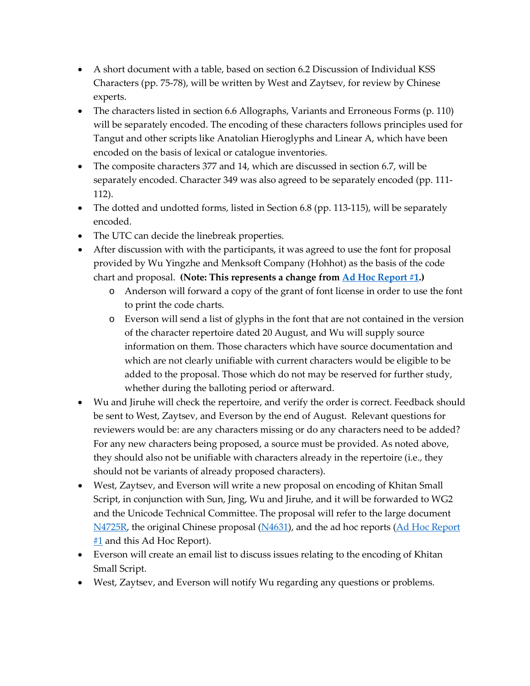- A short document with a table, based on section 6.2 Discussion of Individual KSS Characters (pp. 75-78), will be written by West and Zaytsev, for review by Chinese experts.
- The characters listed in section 6.6 Allographs, Variants and Erroneous Forms (p. 110) will be separately encoded. The encoding of these characters follows principles used for Tangut and other scripts like Anatolian Hieroglyphs and Linear A, which have been encoded on the basis of lexical or catalogue inventories.
- The composite characters 377 and 14, which are discussed in section 6.7, will be separately encoded. Character 349 was also agreed to be separately encoded (pp. 111- 112).
- The dotted and undotted forms, listed in Section 6.8 (pp. 113-115), will be separately encoded.
- The UTC can decide the linebreak properties.
- After discussion with with the participants, it was agreed to use the font for proposal provided by Wu Yingzhe and Menksoft Company (Hohhot) as the basis of the code chart and proposal. **(Note: This represents a change from [Ad Hoc Report #1.](http://www.unicode.org/L2/L2016/16243-khitan-meeting-1.pdf))**
	- o Anderson will forward a copy of the grant of font license in order to use the font to print the code charts.
	- o Everson will send a list of glyphs in the font that are not contained in the version of the character repertoire dated 20 August, and Wu will supply source information on them. Those characters which have source documentation and which are not clearly unifiable with current characters would be eligible to be added to the proposal. Those which do not may be reserved for further study, whether during the balloting period or afterward.
- Wu and Jiruhe will check the repertoire, and verify the order is correct. Feedback should be sent to West, Zaytsev, and Everson by the end of August. Relevant questions for reviewers would be: are any characters missing or do any characters need to be added? For any new characters being proposed, a source must be provided. As noted above, they should also not be unifiable with characters already in the repertoire (i.e., they should not be variants of already proposed characters).
- West, Zaytsev, and Everson will write a new proposal on encoding of Khitan Small Script, in conjunction with Sun, Jing, Wu and Jiruhe, and it will be forwarded to WG2 and the Unicode Technical Committee. The proposal will refer to the large document [N4725R,](http://www.unicode.org/L2/L2016/16113r-n4725r-khitan-small-script.pdf) the original Chinese proposal [\(N4631\)](http://www.unicode.org/L2/L2014/14234-n4631-khitan.pdf), and the ad hoc reports (Ad Hoc Report [#1](http://www.unicode.org/L2/L2016/16243-khitan-meeting-1.pdf) and this Ad Hoc Report).
- Everson will create an email list to discuss issues relating to the encoding of Khitan Small Script.
- West, Zaytsev, and Everson will notify Wu regarding any questions or problems.